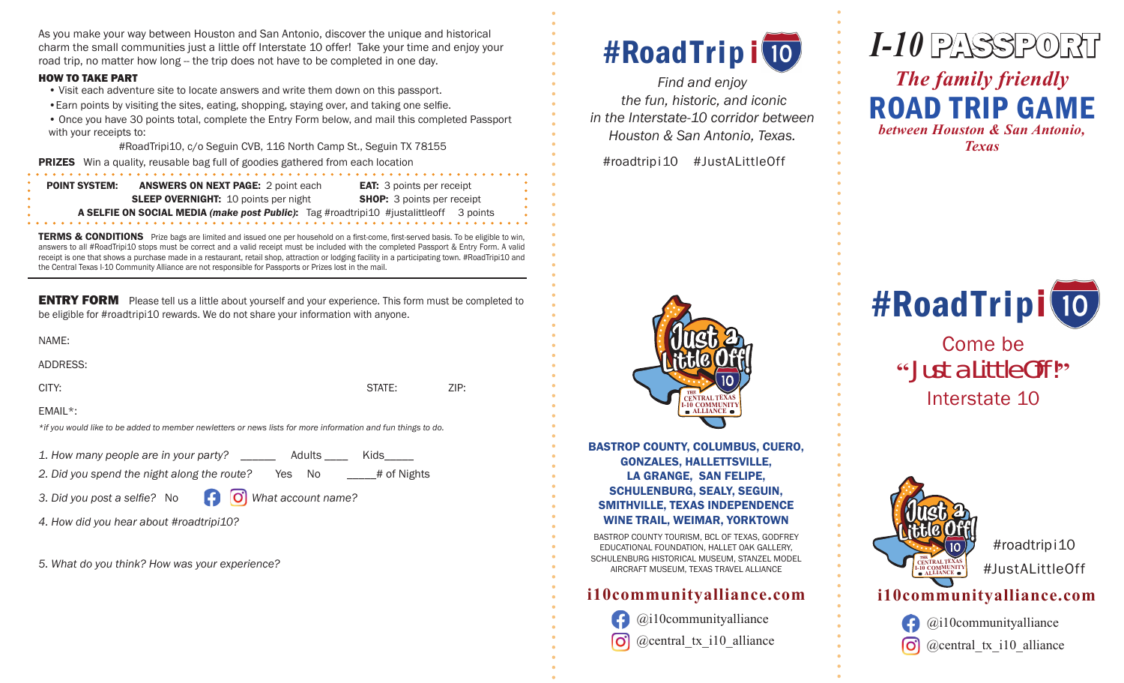As you make your way between Houston and San Antonio, discover the unique and historical charm the small communities just a little off Interstate 10 offer! Take your time and enjoy your road trip, no matter how long -- the trip does not have to be completed in one day.

#### **HOW TO TAKE PART**

- . Visit each adventure site to locate answers and write them down on this passport. . Earn points by visiting the sites, eating, shopping, staying over, and taking one selfie.
- Once you have 30 points total, complete the Entry Form below, and mail this completed Passport with your receipts to:

#RoadTripi10, c/o Seguin CVB, 116 North Camp St., Seguin TX 78155

**PRIZES** Win a quality, reusable bag full of goodies gathered from each location

| <b>POINT SYSTEM:</b>                                                                   | <b>ANSWERS ON NEXT PAGE: 2 point each</b>   | <b>EAT:</b> 3 points per receipt  |
|----------------------------------------------------------------------------------------|---------------------------------------------|-----------------------------------|
|                                                                                        | <b>SLEEP OVERNIGHT: 10 points per night</b> | <b>SHOP:</b> 3 points per receipt |
| A SELFIE ON SOCIAL MEDIA (make post Public): Tag #roadtripi10 #justalittleoff 3 points |                                             |                                   |
|                                                                                        |                                             |                                   |

TERMS & CONDITIONS Prize bags are limited and issued one per household on a first-come, first-served basis. To be eligible to win, answers to all #RoadTripi10 stops must be correct and a valid receipt must be included with the completed Passport & Entry Form. A valid receipt is one that shows a purchase made in a restaurant, retail shop, attraction or lodging facility in a participating town. #RoadTripi10 and the Central Texas I-10 Community Alliance are not responsible for Passports or Prizes lost in the mail.

**ENTRY FORM** Please tell us a little about yourself and your experience. This form must be completed to be eligible for #roadtripi10 rewards. We do not share your information with anyone.

STATE:

# of Nights

ZIP:

ADDRESS:

CITY:

EMAIL\*:

\*if you would like to be added to member newletters or news lists for more information and fun things to do.

1. How many people are in your party? \_\_\_\_\_\_ Adults \_\_\_\_\_\_ Kids\_\_\_\_\_\_

2. Did you spend the night along the route? Yes No

3. Did you post a selfie? No

- [O] What account name?
- 4. How did you hear about #roadtripi10?

5. What do you think? How was your experience?

# #RoadTripi 10

Find and enjoy the fun, historic, and iconic in the Interstate-10 corridor between Houston & San Antonio, Texas.

#roadtripi10 #JustALittleOff



**BASTROP COUNTY, COLUMBUS, CUERO, GONZALES, HALLETTSVILLE, LA GRANGE, SAN FELIPE, SCHULENBURG, SEALY, SEGUIN, SMITHVILLE, TEXAS INDEPENDENCE WINE TRAIL, WEIMAR, YORKTOWN** 

BASTROP COUNTY TOURISM, BCL OF TEXAS, GODFREY EDUCATIONAL FOUNDATION. HALLET OAK GALLERY. SCHULENBURG HISTORICAL MUSEUM. STANZEL MODEL AIRCRAFT MUSEUM. TEXAS TRAVEL ALLIANCE

# i10communityalliance.com

 $@i10$ communityalliance @central tx i10 alliance



**Texas** 



Come be "Just a Little Off!" Interstate 10



#roadtripi10 #JustALittleOff

## i10communityalliance.com